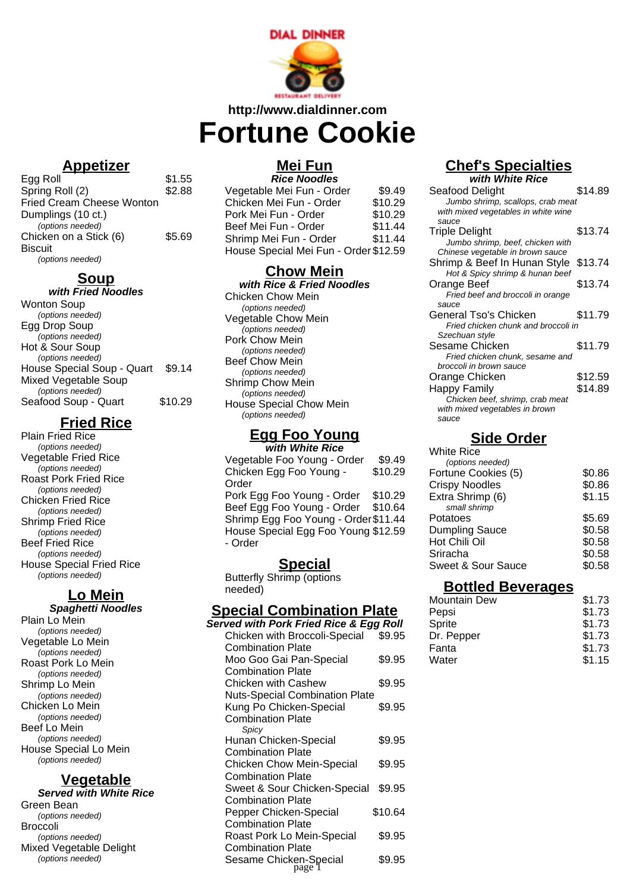

### **http://www.dialdinner.com**

# **Fortune Cookie**

### **Appetizer**

| \$1.55 |
|--------|
| \$2.88 |
|        |
|        |
|        |
| \$5.69 |
|        |
|        |
|        |

### **Soup**

| with Fried Noodles         |         |
|----------------------------|---------|
| Wonton Soup                |         |
| (options needed)           |         |
| Egg Drop Soup              |         |
| (options needed)           |         |
| Hot & Sour Soup            |         |
| (options needed)           |         |
| House Special Soup - Quart | \$9.14  |
| Mixed Vegetable Soup       |         |
| (options needed)           |         |
| Seafood Soup - Quart       | \$10.29 |
|                            |         |

### **Fried Rice**

Plain Fried Rice (options needed) Vegetable Fried Rice (options needed) Roast Pork Fried Rice (options needed) Chicken Fried Rice (options needed) Shrimp Fried Rice (options needed) Beef Fried Rice (options needed) House Special Fried Rice (options needed)

### **Lo Mein**

#### **Spaghetti Noodles** Plain Lo Mein (options needed) Vegetable Lo Mein (options needed) Roast Pork Lo Mein (options needed) Shrimp Lo Mein (options needed) Chicken Lo Mein (options needed) Beef Lo Mein (options needed) House Special Lo Mein (options needed)

### **Vegetable**

**Served with White Rice** Green Bean (options needed) Broccoli (options needed) Mixed Vegetable Delight (options needed)

# **Mei Fun**

| <b>Rice Noodles</b>                   |         |
|---------------------------------------|---------|
| Vegetable Mei Fun - Order             | \$9.49  |
| Chicken Mei Fun - Order               | \$10.29 |
| Pork Mei Fun - Order                  | \$10.29 |
| Beef Mei Fun - Order                  | \$11.44 |
| Shrimp Mei Fun - Order                | \$11.44 |
| House Special Mei Fun - Order \$12.59 |         |

# **Chow Mein**

**with Rice & Fried Noodles** Chicken Chow Mein (options needed) Vegetable Chow Mein (options needed) Pork Chow Mein (options needed) Beef Chow Mein (options needed) Shrimp Chow Mein (options needed) House Special Chow Mein (options needed)

#### **Egg Foo Young with White Rice**

| Vegetable Foo Young - Order          | \$9.49  |
|--------------------------------------|---------|
| Chicken Egg Foo Young -              | \$10.29 |
| Order                                |         |
| Pork Egg Foo Young - Order           | \$10.29 |
| Beef Egg Foo Young - Order           | \$10.64 |
| Shrimp Egg Foo Young - Order \$11.44 |         |
| House Special Egg Foo Young \$12.59  |         |
| - Order                              |         |
|                                      |         |

### **Special**

Butterfly Shrimp (options needed)

### **Special Combination Plate**

| <b>Served with Pork Fried Rice &amp; Egg Roll</b> |         |
|---------------------------------------------------|---------|
| Chicken with Broccoli-Special                     | \$9.95  |
| <b>Combination Plate</b>                          |         |
| Moo Goo Gai Pan-Special                           | \$9.95  |
| <b>Combination Plate</b>                          |         |
| Chicken with Cashew                               | \$9.95  |
| <b>Nuts-Special Combination Plate</b>             |         |
| Kung Po Chicken-Special                           | \$9.95  |
| <b>Combination Plate</b>                          |         |
| Spicy                                             |         |
| Hunan Chicken-Special                             | \$9.95  |
| <b>Combination Plate</b>                          |         |
| <b>Chicken Chow Mein-Special</b>                  | \$9.95  |
| <b>Combination Plate</b>                          |         |
| Sweet & Sour Chicken-Special                      | \$9.95  |
| <b>Combination Plate</b>                          |         |
| Pepper Chicken-Special                            | \$10.64 |
| <b>Combination Plate</b>                          |         |
| Roast Pork Lo Mein-Special                        | \$9.95  |
| <b>Combination Plate</b>                          |         |
| Sesame Chicken-Special<br>page 1                  | \$9.95  |
|                                                   |         |

#### **Chef's Specialties with White Rice**

| \$14.89                              |
|--------------------------------------|
| Jumbo shrimp, scallops, crab meat    |
|                                      |
|                                      |
| \$13.74                              |
|                                      |
|                                      |
| Shrimp & Beef In Hunan Style \$13.74 |
|                                      |
| \$13.74                              |
|                                      |
|                                      |
| \$11.79                              |
| Fried chicken chunk and broccoli in  |
|                                      |
| \$11.79                              |
|                                      |
|                                      |
| \$12.59                              |
| \$14.89                              |
|                                      |
|                                      |
|                                      |
|                                      |

# **Side Order**

| <b>White Rice</b>     |        |
|-----------------------|--------|
| (options needed)      |        |
| Fortune Cookies (5)   | \$0.86 |
| <b>Crispy Noodles</b> | \$0.86 |
| Extra Shrimp (6)      | \$1.15 |
| small shrimp          |        |
| Potatoes              | \$5.69 |
| <b>Dumpling Sauce</b> | \$0.58 |
| Hot Chili Oil         | \$0.58 |
| Sriracha              | \$0.58 |
| Sweet & Sour Sauce    | \$0.58 |
|                       |        |

### **Bottled Beverages**

| <b>Mountain Dew</b> | \$1.73 |
|---------------------|--------|
| Pepsi               | \$1.73 |
| Sprite              | \$1.73 |
| Dr. Pepper          | \$1.73 |
| Fanta               | \$1.73 |
| Water               | \$1.15 |
|                     |        |